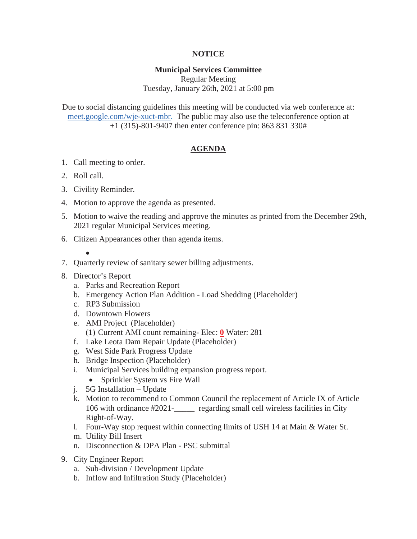## **NOTICE**

## **Municipal Services Committee**

Regular Meeting Tuesday, January 26th, 2021 at 5:00 pm

Due to social distancing guidelines this meeting will be conducted via web conference at: meet.google.com/wje-xuct-mbr. The public may also use the teleconference option at +1 (315)-801-9407 then enter conference pin: 863 831 330#

## **AGENDA**

- 1. Call meeting to order.
- 2. Roll call.
- 3. Civility Reminder.
- 4. Motion to approve the agenda as presented.
- 5. Motion to waive the reading and approve the minutes as printed from the December 29th, 2021 regular Municipal Services meeting.
- 6. Citizen Appearances other than agenda items.
	- $\bullet$
- 7. Quarterly review of sanitary sewer billing adjustments.
- 8. Director's Report
	- a. Parks and Recreation Report
	- b. Emergency Action Plan Addition Load Shedding (Placeholder)
	- c. RP3 Submission
	- d. Downtown Flowers
	- e. AMI Project (Placeholder) (1) Current AMI count remaining- Elec: **0** Water: 281
	- f. Lake Leota Dam Repair Update (Placeholder)
	- g. West Side Park Progress Update
	- h. Bridge Inspection (Placeholder)
	- i. Municipal Services building expansion progress report.
		- Sprinkler System vs Fire Wall
	- j. 5G Installation Update
	- k. Motion to recommend to Common Council the replacement of Article IX of Article 106 with ordinance #2021-\_\_\_\_\_ regarding small cell wireless facilities in City Right-of-Way.
	- l. Four-Way stop request within connecting limits of USH 14 at Main & Water St.
	- m. Utility Bill Insert
	- n. Disconnection & DPA Plan PSC submittal
- 9. City Engineer Report
	- a. Sub-division / Development Update
	- b. Inflow and Infiltration Study (Placeholder)